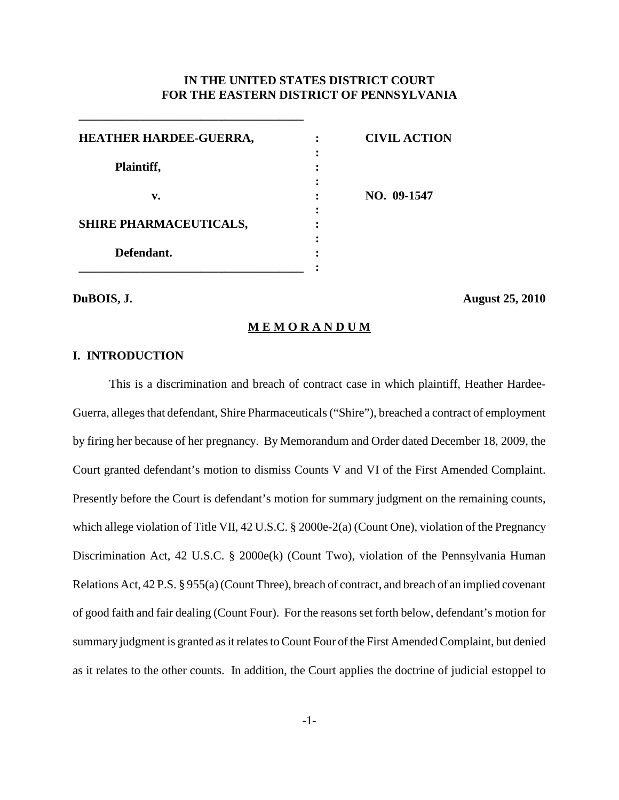# **IN THE UNITED STATES DISTRICT COURT FOR THE EASTERN DISTRICT OF PENNSYLVANIA**

| HEATHER HARDEE-GUERRA,        | <b>CIVIL ACTION</b> |
|-------------------------------|---------------------|
|                               |                     |
| Plaintiff,                    |                     |
|                               |                     |
| v.                            | NO. 09-1547         |
|                               |                     |
| <b>SHIRE PHARMACEUTICALS,</b> |                     |
|                               |                     |
| Defendant.                    |                     |
|                               |                     |

**\_\_\_\_\_\_\_\_\_\_\_\_\_\_\_\_\_\_\_\_\_\_\_\_\_\_\_\_\_\_\_\_\_\_\_\_\_**

**DuBOIS, J. August 25, 2010**

**M E M O R A N D U M**

## **I. INTRODUCTION**

This is a discrimination and breach of contract case in which plaintiff, Heather Hardee-Guerra, alleges that defendant, Shire Pharmaceuticals ("Shire"), breached a contract of employment by firing her because of her pregnancy. By Memorandum and Order dated December 18, 2009, the Court granted defendant's motion to dismiss Counts V and VI of the First Amended Complaint. Presently before the Court is defendant's motion for summary judgment on the remaining counts, which allege violation of Title VII, 42 U.S.C. § 2000e-2(a) (Count One), violation of the Pregnancy Discrimination Act, 42 U.S.C. § 2000e(k) (Count Two), violation of the Pennsylvania Human Relations Act, 42 P.S. § 955(a) (Count Three), breach of contract, and breach of an implied covenant of good faith and fair dealing (Count Four). For the reasons set forth below, defendant's motion for summary judgment is granted as it relates to Count Four of the First Amended Complaint, but denied as it relates to the other counts. In addition, the Court applies the doctrine of judicial estoppel to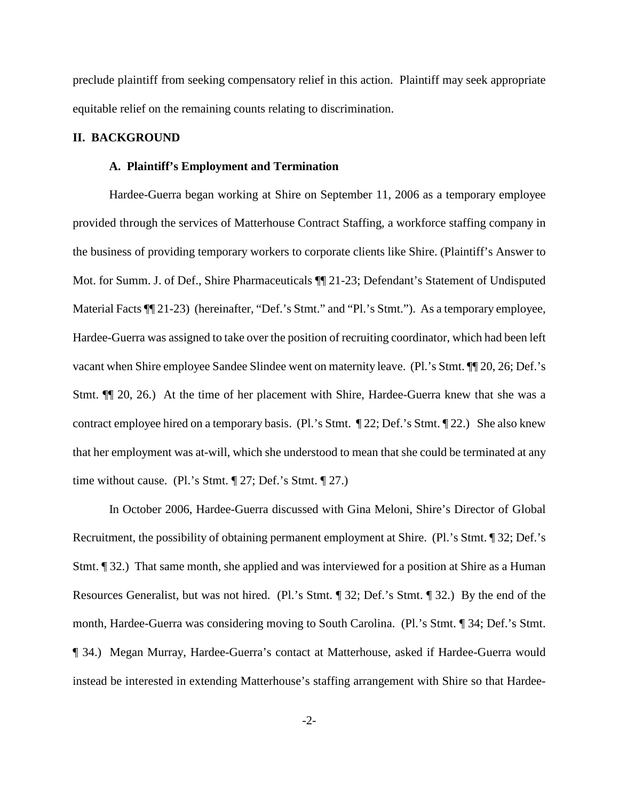preclude plaintiff from seeking compensatory relief in this action. Plaintiff may seek appropriate equitable relief on the remaining counts relating to discrimination.

## **II. BACKGROUND**

# **A. Plaintiff's Employment and Termination**

Hardee-Guerra began working at Shire on September 11, 2006 as a temporary employee provided through the services of Matterhouse Contract Staffing, a workforce staffing company in the business of providing temporary workers to corporate clients like Shire. (Plaintiff's Answer to Mot. for Summ. J. of Def., Shire Pharmaceuticals ¶¶ 21-23; Defendant's Statement of Undisputed Material Facts  $\P$  21-23) (hereinafter, "Def.'s Stmt." and "Pl.'s Stmt."). As a temporary employee, Hardee-Guerra was assigned to take over the position of recruiting coordinator, which had been left vacant when Shire employee Sandee Slindee went on maternity leave. (Pl.'s Stmt. ¶¶ 20, 26; Def.'s Stmt. ¶¶ 20, 26.) At the time of her placement with Shire, Hardee-Guerra knew that she was a contract employee hired on a temporary basis. (Pl.'s Stmt. ¶ 22; Def.'s Stmt. ¶ 22.) She also knew that her employment was at-will, which she understood to mean that she could be terminated at any time without cause. (Pl.'s Stmt. ¶ 27; Def.'s Stmt. ¶ 27.)

In October 2006, Hardee-Guerra discussed with Gina Meloni, Shire's Director of Global Recruitment, the possibility of obtaining permanent employment at Shire. (Pl.'s Stmt. ¶ 32; Def.'s Stmt. ¶ 32.) That same month, she applied and was interviewed for a position at Shire as a Human Resources Generalist, but was not hired. (Pl.'s Stmt. ¶ 32; Def.'s Stmt. ¶ 32.) By the end of the month, Hardee-Guerra was considering moving to South Carolina. (Pl.'s Stmt. ¶ 34; Def.'s Stmt. ¶ 34.) Megan Murray, Hardee-Guerra's contact at Matterhouse, asked if Hardee-Guerra would instead be interested in extending Matterhouse's staffing arrangement with Shire so that Hardee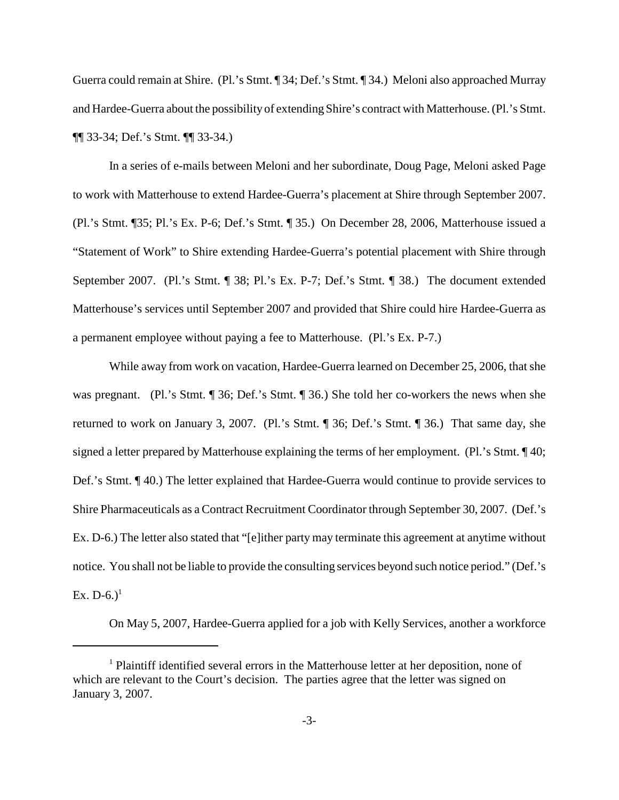Guerra could remain at Shire. (Pl.'s Stmt. ¶ 34; Def.'s Stmt. ¶ 34.) Meloni also approached Murray and Hardee-Guerra about the possibility of extending Shire's contract with Matterhouse.(Pl.'s Stmt. ¶¶ 33-34; Def.'s Stmt. ¶¶ 33-34.)

In a series of e-mails between Meloni and her subordinate, Doug Page, Meloni asked Page to work with Matterhouse to extend Hardee-Guerra's placement at Shire through September 2007. (Pl.'s Stmt. ¶35; Pl.'s Ex. P-6; Def.'s Stmt. ¶ 35.) On December 28, 2006, Matterhouse issued a "Statement of Work" to Shire extending Hardee-Guerra's potential placement with Shire through September 2007. (Pl.'s Stmt. ¶ 38; Pl.'s Ex. P-7; Def.'s Stmt. ¶ 38.) The document extended Matterhouse's services until September 2007 and provided that Shire could hire Hardee-Guerra as a permanent employee without paying a fee to Matterhouse. (Pl.'s Ex. P-7.)

While away from work on vacation, Hardee-Guerra learned on December 25, 2006, that she was pregnant. (Pl.'s Stmt. ¶ 36; Def.'s Stmt. ¶ 36.) She told her co-workers the news when she returned to work on January 3, 2007. (Pl.'s Stmt. ¶ 36; Def.'s Stmt. ¶ 36.) That same day, she signed a letter prepared by Matterhouse explaining the terms of her employment. (Pl.'s Stmt. ¶ 40; Def.'s Stmt. ¶ 40.) The letter explained that Hardee-Guerra would continue to provide services to Shire Pharmaceuticals as a Contract Recruitment Coordinator through September 30, 2007. (Def.'s Ex. D-6.) The letter also stated that "[e]ither party may terminate this agreement at anytime without notice. You shall not be liable to provide the consulting services beyond such notice period." (Def.'s Ex. D-6.)<sup>1</sup>

On May 5, 2007, Hardee-Guerra applied for a job with Kelly Services, another a workforce

<sup>1</sup> Plaintiff identified several errors in the Matterhouse letter at her deposition, none of which are relevant to the Court's decision. The parties agree that the letter was signed on January 3, 2007.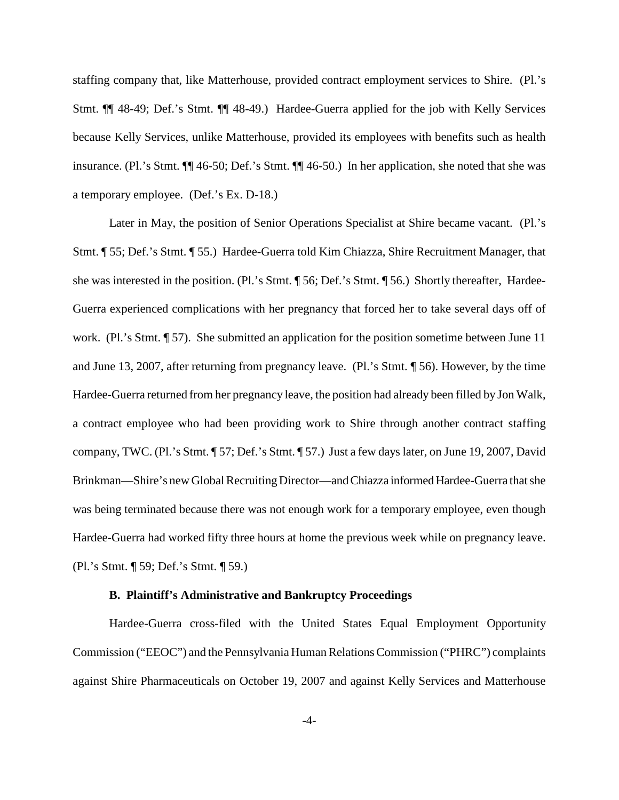staffing company that, like Matterhouse, provided contract employment services to Shire. (Pl.'s Stmt. ¶¶ 48-49; Def.'s Stmt. ¶¶ 48-49.) Hardee-Guerra applied for the job with Kelly Services because Kelly Services, unlike Matterhouse, provided its employees with benefits such as health insurance. (Pl.'s Stmt. ¶¶ 46-50; Def.'s Stmt. ¶¶ 46-50.) In her application, she noted that she was a temporary employee. (Def.'s Ex. D-18.)

Later in May, the position of Senior Operations Specialist at Shire became vacant. (Pl.'s Stmt. ¶ 55; Def.'s Stmt. ¶ 55.) Hardee-Guerra told Kim Chiazza, Shire Recruitment Manager, that she was interested in the position. (Pl.'s Stmt. ¶ 56; Def.'s Stmt. ¶ 56.) Shortly thereafter, Hardee-Guerra experienced complications with her pregnancy that forced her to take several days off of work. (Pl.'s Stmt. ¶ 57). She submitted an application for the position sometime between June 11 and June 13, 2007, after returning from pregnancy leave. (Pl.'s Stmt. ¶ 56). However, by the time Hardee-Guerra returned from her pregnancy leave, the position had already been filled by Jon Walk, a contract employee who had been providing work to Shire through another contract staffing company, TWC. (Pl.'s Stmt. ¶ 57; Def.'s Stmt. ¶ 57.) Just a few days later, on June 19, 2007, David Brinkman—Shire's new Global Recruiting Director—and Chiazza informed Hardee-Guerra that she was being terminated because there was not enough work for a temporary employee, even though Hardee-Guerra had worked fifty three hours at home the previous week while on pregnancy leave. (Pl.'s Stmt. ¶ 59; Def.'s Stmt. ¶ 59.)

## **B. Plaintiff's Administrative and Bankruptcy Proceedings**

Hardee-Guerra cross-filed with the United States Equal Employment Opportunity Commission ("EEOC") and the Pennsylvania HumanRelationsCommission ("PHRC") complaints against Shire Pharmaceuticals on October 19, 2007 and against Kelly Services and Matterhouse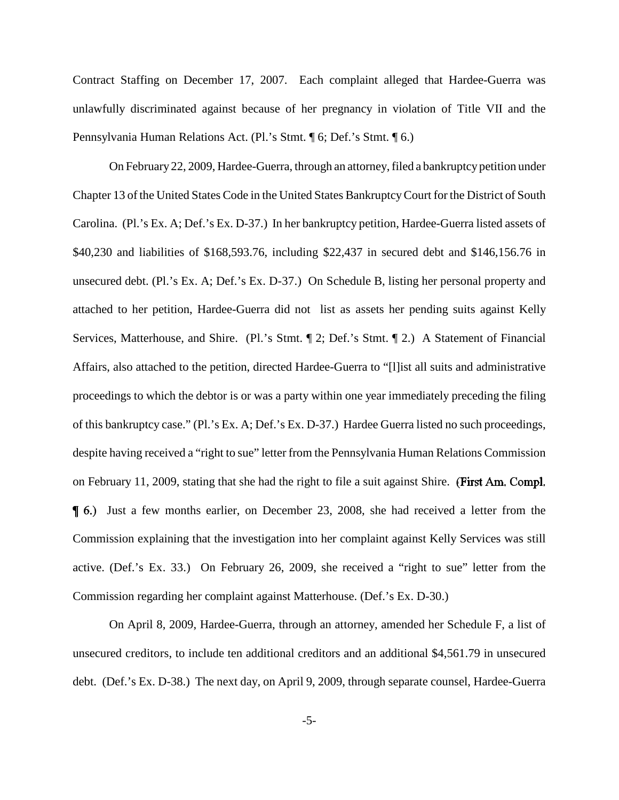Contract Staffing on December 17, 2007. Each complaint alleged that Hardee-Guerra was unlawfully discriminated against because of her pregnancy in violation of Title VII and the Pennsylvania Human Relations Act. (Pl.'s Stmt. ¶ 6; Def.'s Stmt. ¶ 6.)

On February 22, 2009, Hardee-Guerra, through an attorney, filed a bankruptcy petition under Chapter 13 of the United States Code in the United States BankruptcyCourt for the District of South Carolina. (Pl.'s Ex. A; Def.'s Ex. D-37.) In her bankruptcy petition, Hardee-Guerra listed assets of \$40,230 and liabilities of \$168,593.76, including \$22,437 in secured debt and \$146,156.76 in unsecured debt. (Pl.'s Ex. A; Def.'s Ex. D-37.) On Schedule B, listing her personal property and attached to her petition, Hardee-Guerra did not list as assets her pending suits against Kelly Services, Matterhouse, and Shire. (Pl.'s Stmt. ¶ 2; Def.'s Stmt. ¶ 2.) A Statement of Financial Affairs, also attached to the petition, directed Hardee-Guerra to "[l]ist all suits and administrative proceedings to which the debtor is or was a party within one year immediately preceding the filing of this bankruptcy case." (Pl.'s Ex. A; Def.'s Ex. D-37.) Hardee Guerra listed no such proceedings, despite having received a "right to sue" letter from the Pennsylvania Human Relations Commission on February 11, 2009, stating that she had the right to file a suit against Shire. (First Am. Compl.) Just a few months earlier, on December 23, 2008, she had received a letter from the Commission explaining that the investigation into her complaint against Kelly Services was still active. (Def.'s Ex. 33.) On February 26, 2009, she received a "right to sue" letter from the Commission regarding her complaint against Matterhouse. (Def.'s Ex. D-30.)

On April 8, 2009, Hardee-Guerra, through an attorney, amended her Schedule F, a list of unsecured creditors, to include ten additional creditors and an additional \$4,561.79 in unsecured debt. (Def.'s Ex. D-38.) The next day, on April 9, 2009, through separate counsel, Hardee-Guerra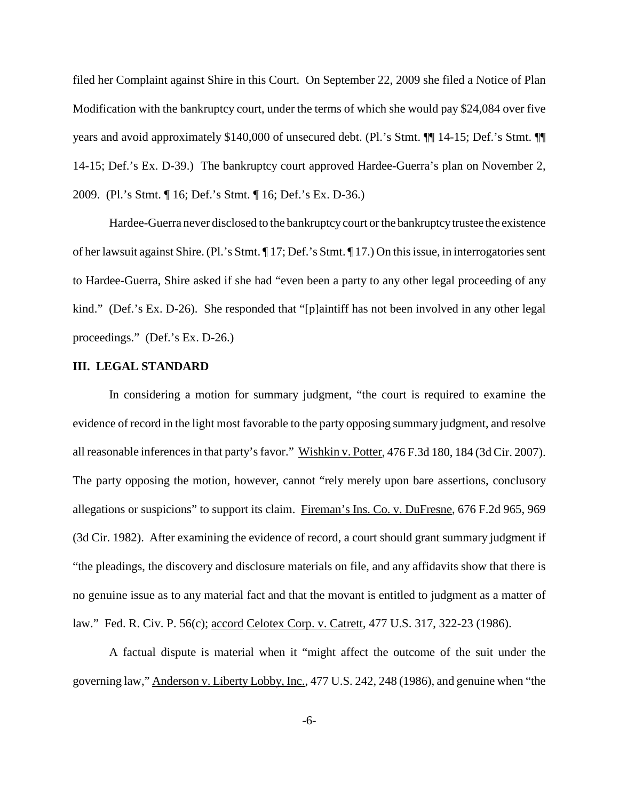filed her Complaint against Shire in this Court. On September 22, 2009 she filed a Notice of Plan Modification with the bankruptcy court, under the terms of which she would pay \$24,084 over five years and avoid approximately \$140,000 of unsecured debt. (Pl.'s Stmt. ¶¶ 14-15; Def.'s Stmt. ¶¶ 14-15; Def.'s Ex. D-39.) The bankruptcy court approved Hardee-Guerra's plan on November 2, 2009. (Pl.'s Stmt. ¶ 16; Def.'s Stmt. ¶ 16; Def.'s Ex. D-36.)

Hardee-Guerra never disclosed to the bankruptcycourt orthe bankruptcytrustee the existence of her lawsuit against Shire. (Pl.'s Stmt. ¶ 17; Def.'s Stmt. ¶ 17.) On this issue, in interrogatories sent to Hardee-Guerra, Shire asked if she had "even been a party to any other legal proceeding of any kind." (Def.'s Ex. D-26). She responded that "[p]aintiff has not been involved in any other legal proceedings." (Def.'s Ex. D-26.)

# **III. LEGAL STANDARD**

In considering a motion for summary judgment, "the court is required to examine the evidence of record in the light most favorable to the party opposing summary judgment, and resolve all reasonable inferences in that party's favor." Wishkin v. Potter, 476 F.3d 180, 184 (3d Cir. 2007). The party opposing the motion, however, cannot "rely merely upon bare assertions, conclusory allegations or suspicions" to support its claim. Fireman's Ins. Co. v. DuFresne, 676 F.2d 965, 969 (3d Cir. 1982). After examining the evidence of record, a court should grant summary judgment if "the pleadings, the discovery and disclosure materials on file, and any affidavits show that there is no genuine issue as to any material fact and that the movant is entitled to judgment as a matter of law." Fed. R. Civ. P. 56(c); accord Celotex Corp. v. Catrett, 477 U.S. 317, 322-23 (1986).

A factual dispute is material when it "might affect the outcome of the suit under the governing law," Anderson v. Liberty Lobby, Inc., 477 U.S. 242, 248 (1986), and genuine when "the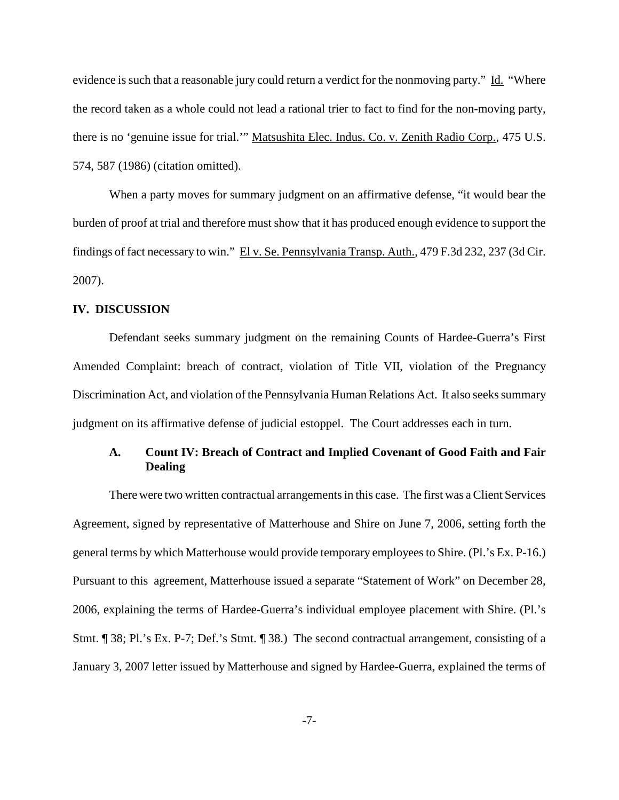evidence is such that a reasonable jury could return a verdict for the nonmoving party." Id. "Where the record taken as a whole could not lead a rational trier to fact to find for the non-moving party, there is no 'genuine issue for trial.'" Matsushita Elec. Indus. Co. v. Zenith Radio Corp., 475 U.S. 574, 587 (1986) (citation omitted).

When a party moves for summary judgment on an affirmative defense, "it would bear the burden of proof at trial and therefore must show that it has produced enough evidence to support the findings of fact necessary to win." El v. Se. Pennsylvania Transp. Auth., 479 F.3d 232, 237 (3d Cir. 2007).

#### **IV. DISCUSSION**

Defendant seeks summary judgment on the remaining Counts of Hardee-Guerra's First Amended Complaint: breach of contract, violation of Title VII, violation of the Pregnancy Discrimination Act, and violation of the Pennsylvania Human Relations Act. It also seeks summary judgment on its affirmative defense of judicial estoppel. The Court addresses each in turn.

# **A. Count IV: Breach of Contract and Implied Covenant of Good Faith and Fair Dealing**

There were two written contractual arrangements in this case. The first was a Client Services Agreement, signed by representative of Matterhouse and Shire on June 7, 2006, setting forth the general terms by which Matterhouse would provide temporary employeesto Shire. (Pl.'s Ex. P-16.) Pursuant to this agreement, Matterhouse issued a separate "Statement of Work" on December 28, 2006, explaining the terms of Hardee-Guerra's individual employee placement with Shire. (Pl.'s Stmt. ¶ 38; Pl.'s Ex. P-7; Def.'s Stmt. ¶ 38.) The second contractual arrangement, consisting of a January 3, 2007 letter issued by Matterhouse and signed by Hardee-Guerra, explained the terms of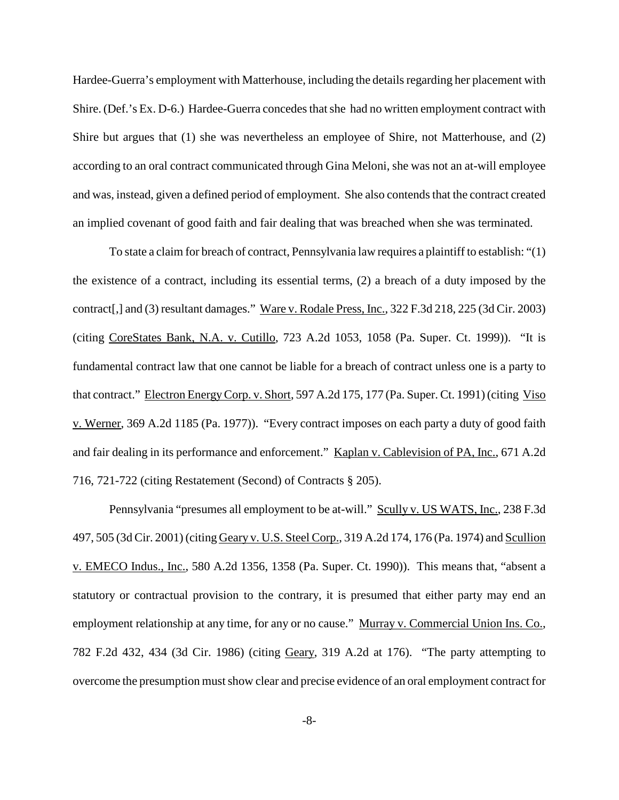Hardee-Guerra's employment with Matterhouse, including the detailsregarding her placement with Shire. (Def.'s Ex. D-6.) Hardee-Guerra concedes that she had no written employment contract with Shire but argues that (1) she was nevertheless an employee of Shire, not Matterhouse, and (2) according to an oral contract communicated through Gina Meloni, she was not an at-will employee and was, instead, given a defined period of employment. She also contends that the contract created an implied covenant of good faith and fair dealing that was breached when she was terminated.

To state a claim for breach of contract, Pennsylvania law requires a plaintiff to establish: "(1) the existence of a contract, including its essential terms, (2) a breach of a duty imposed by the contract[,] and (3) resultant damages." Ware v. Rodale Press, Inc., 322 F.3d 218, 225 (3d Cir. 2003) (citing CoreStates Bank, N.A. v. Cutillo, 723 A.2d 1053, 1058 (Pa. Super. Ct. 1999)). "It is fundamental contract law that one cannot be liable for a breach of contract unless one is a party to that contract." Electron EnergyCorp. v. Short, 597 A.2d 175, 177 (Pa. Super. Ct. 1991) (citing Viso v. Werner, 369 A.2d 1185 (Pa. 1977)). "Every contract imposes on each party a duty of good faith and fair dealing in its performance and enforcement." Kaplan v. Cablevision of PA, Inc., 671 A.2d 716, 721-722 (citing Restatement (Second) of Contracts § 205).

Pennsylvania "presumes all employment to be at-will." Scully v. US WATS, Inc., 238 F.3d 497, 505 (3d Cir. 2001) (citing Geary v. U.S. Steel Corp., 319 A.2d 174, 176 (Pa. 1974) and Scullion v. EMECO Indus., Inc., 580 A.2d 1356, 1358 (Pa. Super. Ct. 1990)). This means that, "absent a statutory or contractual provision to the contrary, it is presumed that either party may end an employment relationship at any time, for any or no cause." Murray v. Commercial Union Ins. Co., 782 F.2d 432, 434 (3d Cir. 1986) (citing Geary, 319 A.2d at 176). "The party attempting to overcome the presumption must show clear and precise evidence of an oral employment contract for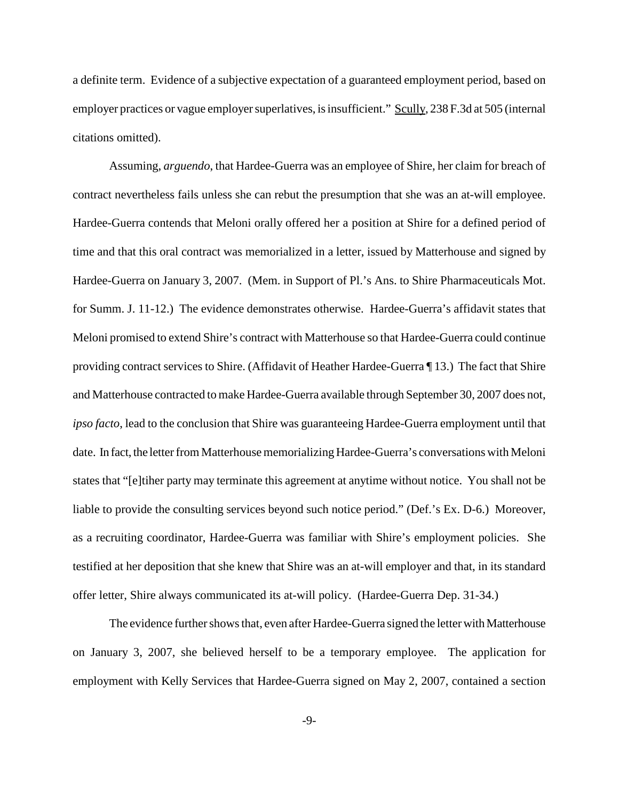a definite term. Evidence of a subjective expectation of a guaranteed employment period, based on employer practices or vague employer superlatives, is insufficient." Scully, 238 F.3d at 505 (internal citations omitted).

Assuming, *arguendo*, that Hardee-Guerra was an employee of Shire, her claim for breach of contract nevertheless fails unless she can rebut the presumption that she was an at-will employee. Hardee-Guerra contends that Meloni orally offered her a position at Shire for a defined period of time and that this oral contract was memorialized in a letter, issued by Matterhouse and signed by Hardee-Guerra on January 3, 2007. (Mem. in Support of Pl.'s Ans. to Shire Pharmaceuticals Mot. for Summ. J. 11-12.) The evidence demonstrates otherwise. Hardee-Guerra's affidavit states that Meloni promised to extend Shire's contract with Matterhouse so that Hardee-Guerra could continue providing contract services to Shire. (Affidavit of Heather Hardee-Guerra ¶ 13.) The fact that Shire and Matterhouse contracted to make Hardee-Guerra available through September 30, 2007 does not, *ipso facto*, lead to the conclusion that Shire was guaranteeing Hardee-Guerra employment until that date. In fact, the letter from Matterhouse memorializing Hardee-Guerra's conversations with Meloni states that "[e]tiher party may terminate this agreement at anytime without notice. You shall not be liable to provide the consulting services beyond such notice period." (Def.'s Ex. D-6.) Moreover, as a recruiting coordinator, Hardee-Guerra was familiar with Shire's employment policies. She testified at her deposition that she knew that Shire was an at-will employer and that, in its standard offer letter, Shire always communicated its at-will policy. (Hardee-Guerra Dep. 31-34.)

The evidence further shows that, even after Hardee-Guerra signed the letter with Matterhouse on January 3, 2007, she believed herself to be a temporary employee. The application for employment with Kelly Services that Hardee-Guerra signed on May 2, 2007, contained a section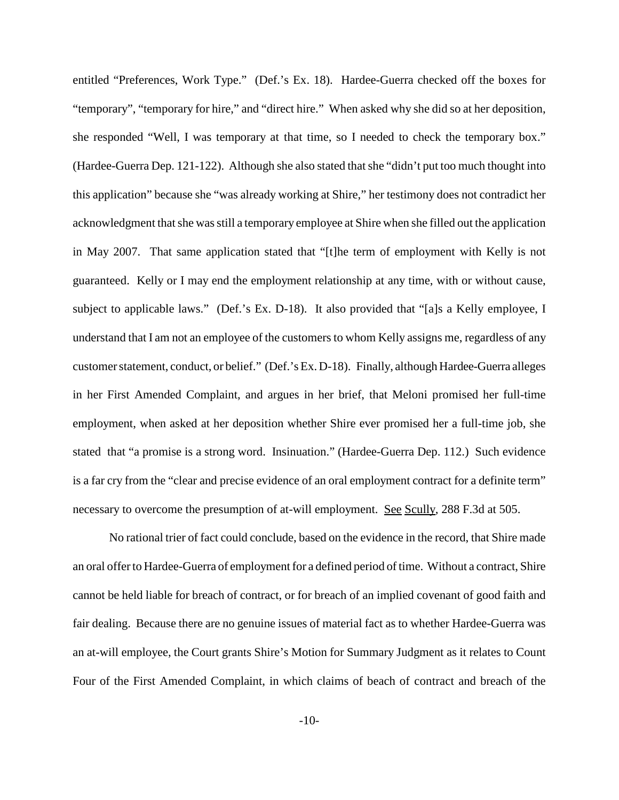entitled "Preferences, Work Type." (Def.'s Ex. 18). Hardee-Guerra checked off the boxes for "temporary", "temporary for hire," and "direct hire." When asked why she did so at her deposition, she responded "Well, I was temporary at that time, so I needed to check the temporary box." (Hardee-Guerra Dep. 121-122). Although she also stated that she "didn't put too much thought into this application" because she "was already working at Shire," her testimony does not contradict her acknowledgment thatshe wasstill a temporary employee at Shire when she filled out the application in May 2007. That same application stated that "[t]he term of employment with Kelly is not guaranteed. Kelly or I may end the employment relationship at any time, with or without cause, subject to applicable laws." (Def.'s Ex. D-18). It also provided that "[a]s a Kelly employee, I understand that I am not an employee of the customers to whom Kelly assigns me, regardless of any customer statement, conduct, or belief." (Def.'s Ex. D-18). Finally, although Hardee-Guerra alleges in her First Amended Complaint, and argues in her brief, that Meloni promised her full-time employment, when asked at her deposition whether Shire ever promised her a full-time job, she stated that "a promise is a strong word. Insinuation." (Hardee-Guerra Dep. 112.) Such evidence is a far cry from the "clear and precise evidence of an oral employment contract for a definite term" necessary to overcome the presumption of at-will employment. See Scully, 288 F.3d at 505.

No rational trier of fact could conclude, based on the evidence in the record, that Shire made an oral offer to Hardee-Guerra of employment for a defined period of time. Without a contract, Shire cannot be held liable for breach of contract, or for breach of an implied covenant of good faith and fair dealing. Because there are no genuine issues of material fact as to whether Hardee-Guerra was an at-will employee, the Court grants Shire's Motion for Summary Judgment as it relates to Count Four of the First Amended Complaint, in which claims of beach of contract and breach of the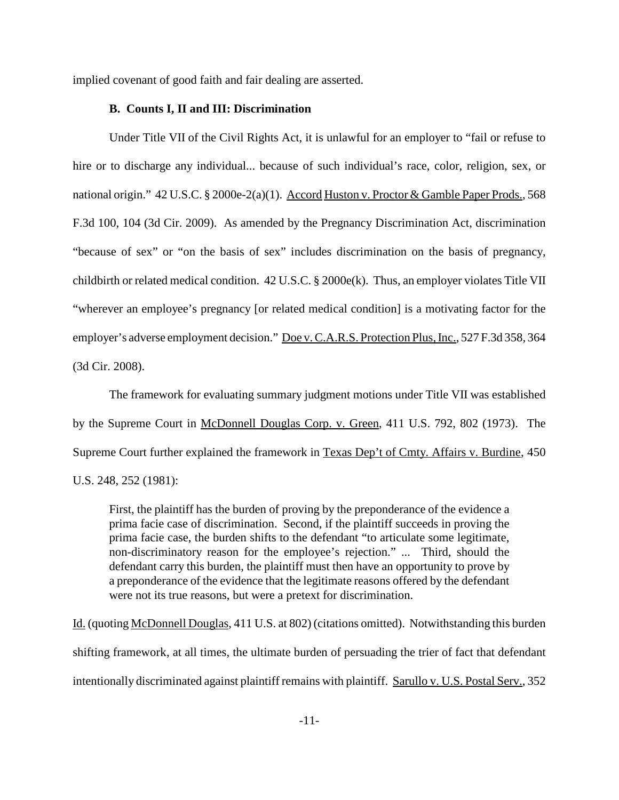implied covenant of good faith and fair dealing are asserted.

#### **B. Counts I, II and III: Discrimination**

Under Title VII of the Civil Rights Act, it is unlawful for an employer to "fail or refuse to hire or to discharge any individual... because of such individual's race, color, religion, sex, or national origin." 42 U.S.C. § 2000e-2(a)(1). Accord Huston v. Proctor & Gamble Paper Prods., 568 F.3d 100, 104 (3d Cir. 2009). As amended by the Pregnancy Discrimination Act, discrimination "because of sex" or "on the basis of sex" includes discrimination on the basis of pregnancy, childbirth or related medical condition. 42 U.S.C. § 2000e(k). Thus, an employer violates Title VII "wherever an employee's pregnancy [or related medical condition] is a motivating factor for the employer's adverse employment decision." Doe v. C.A.R.S. Protection Plus, Inc., 527 F.3d 358, 364 (3d Cir. 2008).

The framework for evaluating summary judgment motions under Title VII was established by the Supreme Court in McDonnell Douglas Corp. v. Green, 411 U.S. 792, 802 (1973). The Supreme Court further explained the framework in Texas Dep't of Cmty. Affairs v. Burdine, 450 U.S. 248, 252 (1981):

First, the plaintiff has the burden of proving by the preponderance of the evidence a prima facie case of discrimination. Second, if the plaintiff succeeds in proving the prima facie case, the burden shifts to the defendant "to articulate some legitimate, non-discriminatory reason for the employee's rejection." ... Third, should the defendant carry this burden, the plaintiff must then have an opportunity to prove by a preponderance of the evidence that the legitimate reasons offered by the defendant were not its true reasons, but were a pretext for discrimination.

Id. (quoting McDonnell Douglas, 411 U.S. at 802) (citations omitted). Notwithstanding this burden shifting framework, at all times, the ultimate burden of persuading the trier of fact that defendant intentionally discriminated against plaintiff remains with plaintiff. Sarullo v. U.S. Postal Serv., 352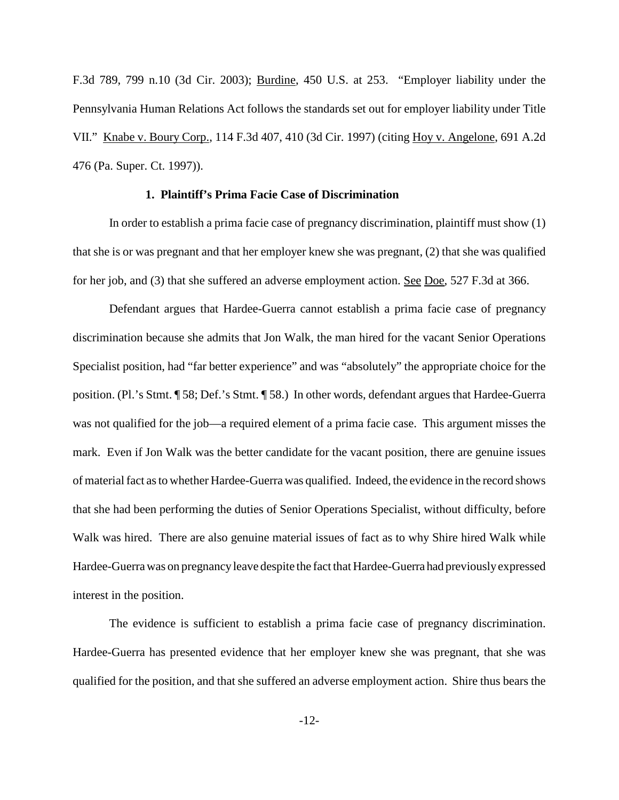F.3d 789, 799 n.10 (3d Cir. 2003); Burdine, 450 U.S. at 253. "Employer liability under the Pennsylvania Human Relations Act follows the standards set out for employer liability under Title VII." Knabe v. Boury Corp., 114 F.3d 407, 410 (3d Cir. 1997) (citing Hoy v. Angelone, 691 A.2d 476 (Pa. Super. Ct. 1997)).

## **1. Plaintiff's Prima Facie Case of Discrimination**

In order to establish a prima facie case of pregnancy discrimination, plaintiff must show (1) that she is or was pregnant and that her employer knew she was pregnant, (2) that she was qualified for her job, and (3) that she suffered an adverse employment action. See Doe, 527 F.3d at 366.

Defendant argues that Hardee-Guerra cannot establish a prima facie case of pregnancy discrimination because she admits that Jon Walk, the man hired for the vacant Senior Operations Specialist position, had "far better experience" and was "absolutely" the appropriate choice for the position. (Pl.'s Stmt. ¶ 58; Def.'s Stmt. ¶ 58.) In other words, defendant argues that Hardee-Guerra was not qualified for the job—a required element of a prima facie case. This argument misses the mark. Even if Jon Walk was the better candidate for the vacant position, there are genuine issues of materialfact asto whether Hardee-Guerra was qualified. Indeed, the evidence in the record shows that she had been performing the duties of Senior Operations Specialist, without difficulty, before Walk was hired. There are also genuine material issues of fact as to why Shire hired Walk while Hardee-Guerra was on pregnancyleave despite the fact that Hardee-Guerra had previouslyexpressed interest in the position.

The evidence is sufficient to establish a prima facie case of pregnancy discrimination. Hardee-Guerra has presented evidence that her employer knew she was pregnant, that she was qualified for the position, and that she suffered an adverse employment action. Shire thus bears the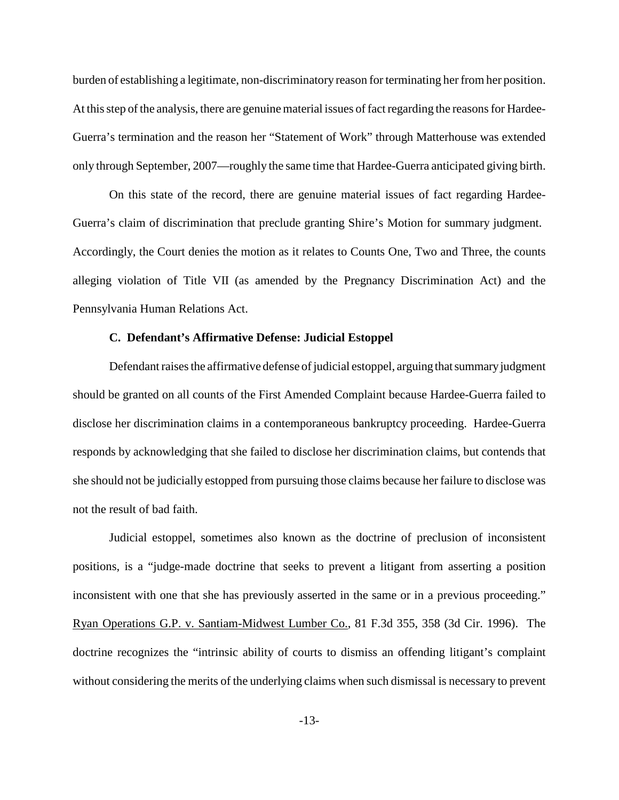burden of establishing a legitimate, non-discriminatory reason for terminating her from her position. At this step of the analysis, there are genuine material issues of fact regarding the reasons for Hardee-Guerra's termination and the reason her "Statement of Work" through Matterhouse was extended only through September, 2007—roughly the same time that Hardee-Guerra anticipated giving birth.

On this state of the record, there are genuine material issues of fact regarding Hardee-Guerra's claim of discrimination that preclude granting Shire's Motion for summary judgment. Accordingly, the Court denies the motion as it relates to Counts One, Two and Three, the counts alleging violation of Title VII (as amended by the Pregnancy Discrimination Act) and the Pennsylvania Human Relations Act.

## **C. Defendant's Affirmative Defense: Judicial Estoppel**

Defendant raises the affirmative defense of judicial estoppel, arguing that summary judgment should be granted on all counts of the First Amended Complaint because Hardee-Guerra failed to disclose her discrimination claims in a contemporaneous bankruptcy proceeding. Hardee-Guerra responds by acknowledging that she failed to disclose her discrimination claims, but contends that she should not be judicially estopped from pursuing those claims because her failure to disclose was not the result of bad faith.

Judicial estoppel, sometimes also known as the doctrine of preclusion of inconsistent positions, is a "judge-made doctrine that seeks to prevent a litigant from asserting a position inconsistent with one that she has previously asserted in the same or in a previous proceeding." Ryan Operations G.P. v. Santiam-Midwest Lumber Co., 81 F.3d 355, 358 (3d Cir. 1996). The doctrine recognizes the "intrinsic ability of courts to dismiss an offending litigant's complaint without considering the merits of the underlying claims when such dismissal is necessary to prevent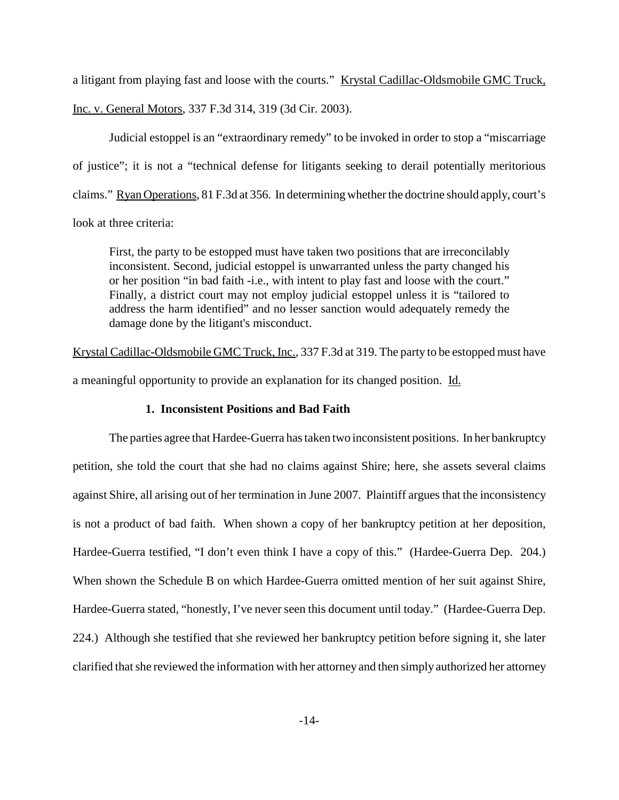a litigant from playing fast and loose with the courts." Krystal Cadillac-Oldsmobile GMC Truck,

Inc. v. General Motors, 337 F.3d 314, 319 (3d Cir. 2003).

Judicial estoppel is an "extraordinary remedy" to be invoked in order to stop a "miscarriage of justice"; it is not a "technical defense for litigants seeking to derail potentially meritorious claims." Ryan Operations, 81 F.3d at 356. In determining whetherthe doctrine should apply, court's look at three criteria:

First, the party to be estopped must have taken two positions that are irreconcilably inconsistent. Second, judicial estoppel is unwarranted unless the party changed his or her position "in bad faith -i.e., with intent to play fast and loose with the court." Finally, a district court may not employ judicial estoppel unless it is "tailored to address the harm identified" and no lesser sanction would adequately remedy the damage done by the litigant's misconduct.

Krystal Cadillac-Oldsmobile GMC Truck, Inc., 337 F.3d at 319. The party to be estopped must have a meaningful opportunity to provide an explanation for its changed position. Id.

# **1. Inconsistent Positions and Bad Faith**

The parties agree that Hardee-Guerra hastaken two inconsistent positions. In her bankruptcy petition, she told the court that she had no claims against Shire; here, she assets several claims against Shire, all arising out of her termination in June 2007. Plaintiff argues that the inconsistency is not a product of bad faith. When shown a copy of her bankruptcy petition at her deposition, Hardee-Guerra testified, "I don't even think I have a copy of this." (Hardee-Guerra Dep. 204.) When shown the Schedule B on which Hardee-Guerra omitted mention of her suit against Shire, Hardee-Guerra stated, "honestly, I've never seen this document until today." (Hardee-Guerra Dep. 224.) Although she testified that she reviewed her bankruptcy petition before signing it, she later clarified that she reviewed the information with her attorney and then simply authorized her attorney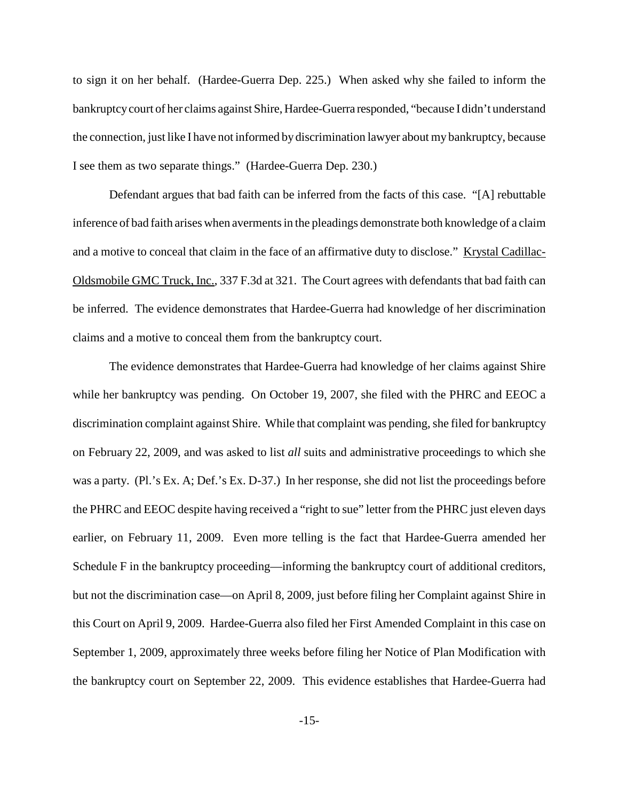to sign it on her behalf. (Hardee-Guerra Dep. 225.) When asked why she failed to inform the bankruptcycourt of her claims against Shire, Hardee-Guerra responded, "because I didn't understand the connection, just like I have not informed by discrimination lawyer about my bankruptcy, because I see them as two separate things." (Hardee-Guerra Dep. 230.)

Defendant argues that bad faith can be inferred from the facts of this case. "[A] rebuttable inference of bad faith arises when averments in the pleadings demonstrate both knowledge of a claim and a motive to conceal that claim in the face of an affirmative duty to disclose." Krystal Cadillac-Oldsmobile GMC Truck, Inc., 337 F.3d at 321. The Court agrees with defendants that bad faith can be inferred. The evidence demonstrates that Hardee-Guerra had knowledge of her discrimination claims and a motive to conceal them from the bankruptcy court.

The evidence demonstrates that Hardee-Guerra had knowledge of her claims against Shire while her bankruptcy was pending. On October 19, 2007, she filed with the PHRC and EEOC a discrimination complaint against Shire. While that complaint was pending, she filed for bankruptcy on February 22, 2009, and was asked to list *all* suits and administrative proceedings to which she was a party. (Pl.'s Ex. A; Def.'s Ex. D-37.) In her response, she did not list the proceedings before the PHRC and EEOC despite having received a "right to sue" letter from the PHRC just eleven days earlier, on February 11, 2009. Even more telling is the fact that Hardee-Guerra amended her Schedule F in the bankruptcy proceeding—informing the bankruptcy court of additional creditors, but not the discrimination case—on April 8, 2009, just before filing her Complaint against Shire in this Court on April 9, 2009. Hardee-Guerra also filed her First Amended Complaint in this case on September 1, 2009, approximately three weeks before filing her Notice of Plan Modification with the bankruptcy court on September 22, 2009. This evidence establishes that Hardee-Guerra had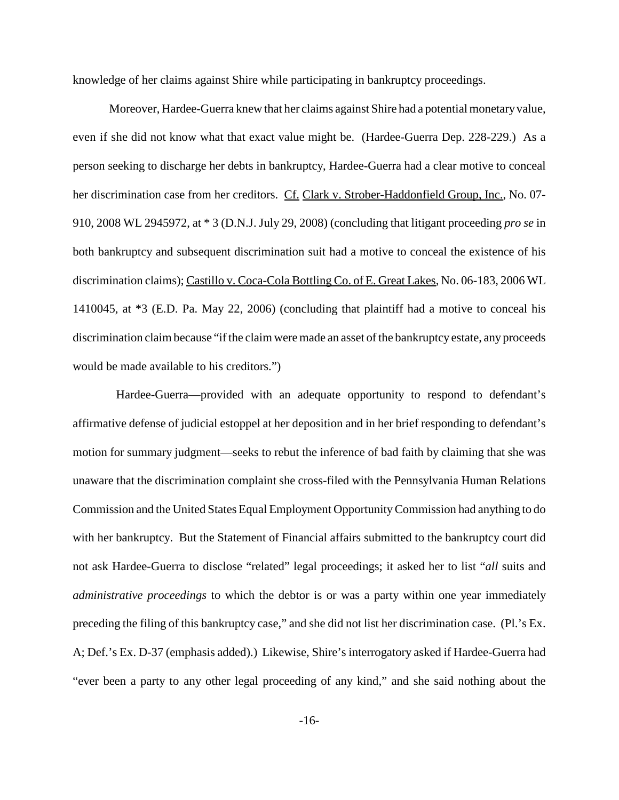knowledge of her claims against Shire while participating in bankruptcy proceedings.

Moreover, Hardee-Guerra knew that her claims against Shire had a potential monetary value, even if she did not know what that exact value might be. (Hardee-Guerra Dep. 228-229.) As a person seeking to discharge her debts in bankruptcy, Hardee-Guerra had a clear motive to conceal her discrimination case from her creditors. Cf. Clark v. Strober-Haddonfield Group, Inc., No. 07-910, 2008 WL 2945972, at \* 3 (D.N.J. July 29, 2008) (concluding that litigant proceeding *pro se* in both bankruptcy and subsequent discrimination suit had a motive to conceal the existence of his discrimination claims); Castillo v. Coca-Cola Bottling Co. of E. Great Lakes, No. 06-183, 2006 WL 1410045, at \*3 (E.D. Pa. May 22, 2006) (concluding that plaintiff had a motive to conceal his discrimination claim because "if the claim were made an asset of the bankruptcy estate, any proceeds would be made available to his creditors.")

Hardee-Guerra—provided with an adequate opportunity to respond to defendant's affirmative defense of judicial estoppel at her deposition and in her brief responding to defendant's motion for summary judgment—seeks to rebut the inference of bad faith by claiming that she was unaware that the discrimination complaint she cross-filed with the Pennsylvania Human Relations Commission and the United States Equal Employment OpportunityCommission had anything to do with her bankruptcy. But the Statement of Financial affairs submitted to the bankruptcy court did not ask Hardee-Guerra to disclose "related" legal proceedings; it asked her to list "*all* suits and *administrative proceedings* to which the debtor is or was a party within one year immediately preceding the filing of this bankruptcy case," and she did not list her discrimination case. (Pl.'s Ex. A; Def.'s Ex. D-37 (emphasis added).) Likewise, Shire's interrogatory asked if Hardee-Guerra had "ever been a party to any other legal proceeding of any kind," and she said nothing about the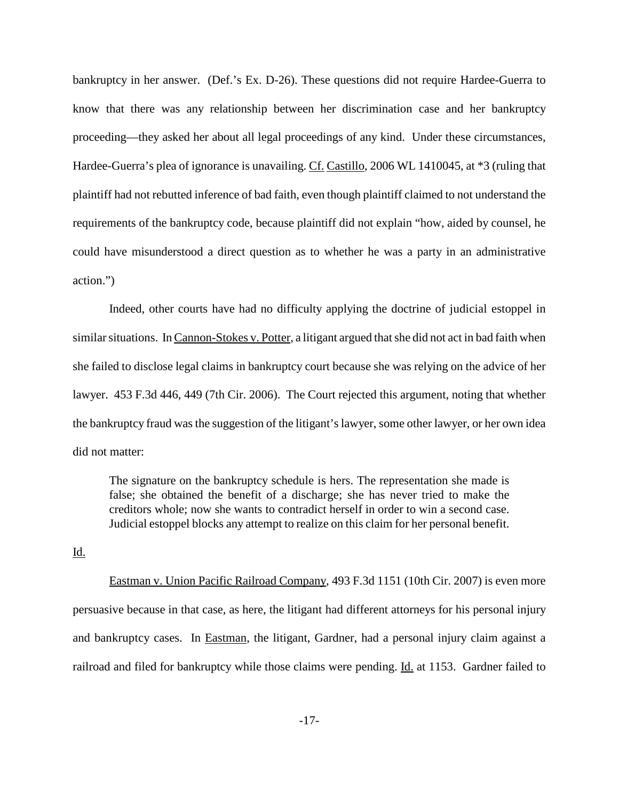bankruptcy in her answer. (Def.'s Ex. D-26). These questions did not require Hardee-Guerra to know that there was any relationship between her discrimination case and her bankruptcy proceeding—they asked her about all legal proceedings of any kind. Under these circumstances, Hardee-Guerra's plea of ignorance is unavailing. Cf. Castillo, 2006 WL 1410045, at \*3 (ruling that plaintiff had not rebutted inference of bad faith, even though plaintiff claimed to not understand the requirements of the bankruptcy code, because plaintiff did not explain "how, aided by counsel, he could have misunderstood a direct question as to whether he was a party in an administrative action.")

Indeed, other courts have had no difficulty applying the doctrine of judicial estoppel in similar situations. In Cannon-Stokes v. Potter, a litigant argued that she did not act in bad faith when she failed to disclose legal claims in bankruptcy court because she was relying on the advice of her lawyer. 453 F.3d 446, 449 (7th Cir. 2006). The Court rejected this argument, noting that whether the bankruptcy fraud wasthe suggestion of the litigant'slawyer, some other lawyer, or her own idea did not matter:

The signature on the bankruptcy schedule is hers. The representation she made is false; she obtained the benefit of a discharge; she has never tried to make the creditors whole; now she wants to contradict herself in order to win a second case. Judicial estoppel blocks any attempt to realize on this claim for her personal benefit.

## Id.

Eastman v. Union Pacific Railroad Company, 493 F.3d 1151 (10th Cir. 2007) is even more persuasive because in that case, as here, the litigant had different attorneys for his personal injury and bankruptcy cases. In Eastman, the litigant, Gardner, had a personal injury claim against a railroad and filed for bankruptcy while those claims were pending. Id. at 1153. Gardner failed to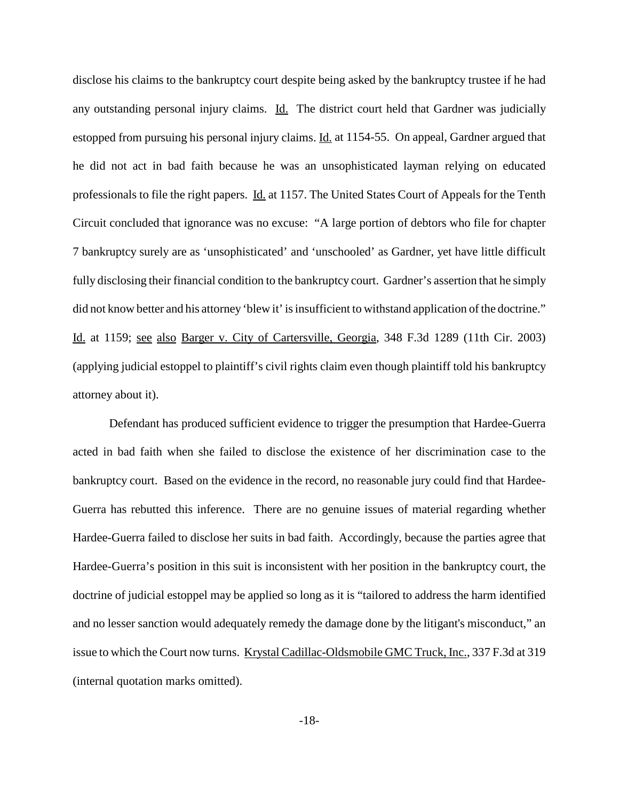disclose his claims to the bankruptcy court despite being asked by the bankruptcy trustee if he had any outstanding personal injury claims. Id. The district court held that Gardner was judicially estopped from pursuing his personal injury claims. Id. at 1154-55. On appeal, Gardner argued that he did not act in bad faith because he was an unsophisticated layman relying on educated professionals to file the right papers. Id. at 1157. The United States Court of Appeals for the Tenth Circuit concluded that ignorance was no excuse: "A large portion of debtors who file for chapter 7 bankruptcy surely are as 'unsophisticated' and 'unschooled' as Gardner, yet have little difficult fully disclosing their financial condition to the bankruptcy court. Gardner's assertion that he simply did not know better and his attorney 'blew it' is insufficient to withstand application of the doctrine." Id. at 1159; see also Barger v. City of Cartersville, Georgia, 348 F.3d 1289 (11th Cir. 2003) (applying judicial estoppel to plaintiff's civil rights claim even though plaintiff told his bankruptcy attorney about it).

Defendant has produced sufficient evidence to trigger the presumption that Hardee-Guerra acted in bad faith when she failed to disclose the existence of her discrimination case to the bankruptcy court. Based on the evidence in the record, no reasonable jury could find that Hardee-Guerra has rebutted this inference. There are no genuine issues of material regarding whether Hardee-Guerra failed to disclose her suits in bad faith. Accordingly, because the parties agree that Hardee-Guerra's position in this suit is inconsistent with her position in the bankruptcy court, the doctrine of judicial estoppel may be applied so long as it is "tailored to address the harm identified and no lesser sanction would adequately remedy the damage done by the litigant's misconduct," an issue to which the Court now turns. Krystal Cadillac-Oldsmobile GMC Truck, Inc., 337 F.3d at 319 (internal quotation marks omitted).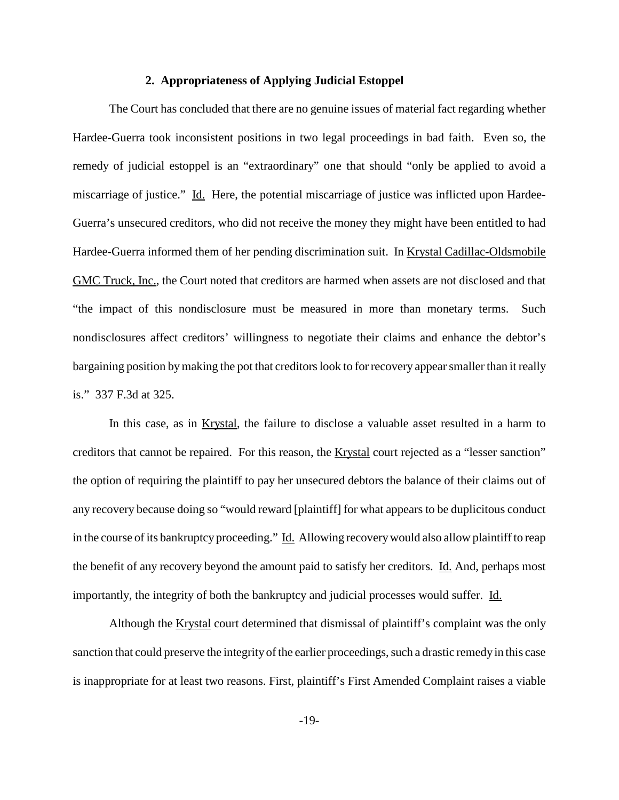#### **2. Appropriateness of Applying Judicial Estoppel**

The Court has concluded that there are no genuine issues of material fact regarding whether Hardee-Guerra took inconsistent positions in two legal proceedings in bad faith. Even so, the remedy of judicial estoppel is an "extraordinary" one that should "only be applied to avoid a miscarriage of justice." Id. Here, the potential miscarriage of justice was inflicted upon Hardee-Guerra's unsecured creditors, who did not receive the money they might have been entitled to had Hardee-Guerra informed them of her pending discrimination suit. In Krystal Cadillac-Oldsmobile GMC Truck, Inc., the Court noted that creditors are harmed when assets are not disclosed and that "the impact of this nondisclosure must be measured in more than monetary terms. Such nondisclosures affect creditors' willingness to negotiate their claims and enhance the debtor's bargaining position by making the pot that creditors look to for recovery appear smaller than it really is." 337 F.3d at 325.

In this case, as in Krystal, the failure to disclose a valuable asset resulted in a harm to creditors that cannot be repaired. For this reason, the Krystal court rejected as a "lesser sanction" the option of requiring the plaintiff to pay her unsecured debtors the balance of their claims out of any recovery because doing so "would reward [plaintiff] for what appears to be duplicitous conduct in the course of its bankruptcy proceeding." Id. Allowing recovery would also allow plaintiff to reap the benefit of any recovery beyond the amount paid to satisfy her creditors. Id. And, perhaps most importantly, the integrity of both the bankruptcy and judicial processes would suffer. Id.

Although the Krystal court determined that dismissal of plaintiff's complaint was the only sanction that could preserve the integrity of the earlier proceedings, such a drastic remedy in this case is inappropriate for at least two reasons. First, plaintiff's First Amended Complaint raises a viable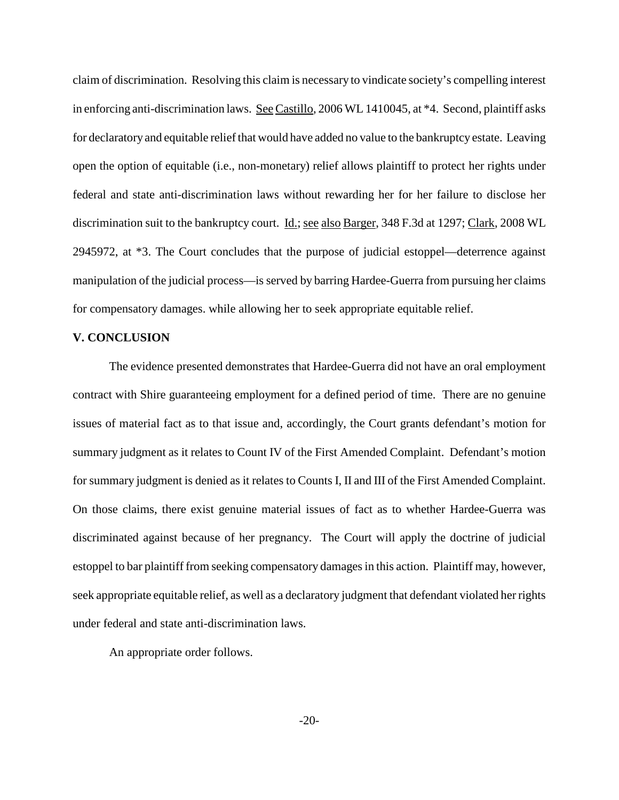claim of discrimination. Resolving this claim is necessary to vindicate society's compelling interest in enforcing anti-discrimination laws. See Castillo, 2006 WL 1410045, at \*4. Second, plaintiff asks for declaratory and equitable reliefthat would have added no value to the bankruptcy estate. Leaving open the option of equitable (i.e., non-monetary) relief allows plaintiff to protect her rights under federal and state anti-discrimination laws without rewarding her for her failure to disclose her discrimination suit to the bankruptcy court. Id.; see also Barger, 348 F.3d at 1297; Clark, 2008 WL 2945972, at \*3. The Court concludes that the purpose of judicial estoppel—deterrence against manipulation of the judicial process—is served by barring Hardee-Guerra from pursuing her claims for compensatory damages. while allowing her to seek appropriate equitable relief.

## **V. CONCLUSION**

The evidence presented demonstrates that Hardee-Guerra did not have an oral employment contract with Shire guaranteeing employment for a defined period of time. There are no genuine issues of material fact as to that issue and, accordingly, the Court grants defendant's motion for summary judgment as it relates to Count IV of the First Amended Complaint. Defendant's motion for summary judgment is denied as it relates to Counts I, II and III of the First Amended Complaint. On those claims, there exist genuine material issues of fact as to whether Hardee-Guerra was discriminated against because of her pregnancy. The Court will apply the doctrine of judicial estoppel to bar plaintiff from seeking compensatory damages in this action. Plaintiff may, however, seek appropriate equitable relief, as well as a declaratory judgment that defendant violated her rights under federal and state anti-discrimination laws.

An appropriate order follows.